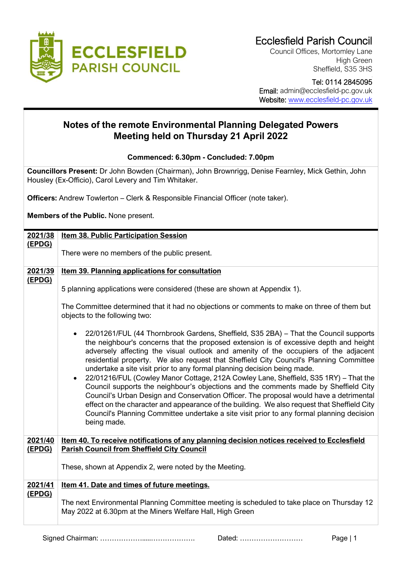

Council Offices, Mortomley Lane High Green Sheffield, S35 3HS

 Tel: 0114 2845095 Email: admin@ecclesfield-pc.gov.uk Website: [www.ecclesfield-pc.gov.uk](http://www.ecclesfield-pc.gov.uk/)

## **Notes of the remote Environmental Planning Delegated Powers Meeting held on Thursday 21 April 2022**

**Commenced: 6.30pm - Concluded: 7.00pm**

**Councillors Present:** Dr John Bowden (Chairman), John Brownrigg, Denise Fearnley, Mick Gethin, John Housley (Ex-Officio), Carol Levery and Tim Whitaker.

**Officers:** Andrew Towlerton – Clerk & Responsible Financial Officer (note taker).

**Members of the Public.** None present.

| 2021/38 | <b>Item 38. Public Participation Session</b>                                                                                                                                                                                                                                                                                                                                                                                                                                                                                                                                                                                                                                                                                                                                                                                                                                                                                                |  |  |  |  |
|---------|---------------------------------------------------------------------------------------------------------------------------------------------------------------------------------------------------------------------------------------------------------------------------------------------------------------------------------------------------------------------------------------------------------------------------------------------------------------------------------------------------------------------------------------------------------------------------------------------------------------------------------------------------------------------------------------------------------------------------------------------------------------------------------------------------------------------------------------------------------------------------------------------------------------------------------------------|--|--|--|--|
| (EPDG)  | There were no members of the public present.                                                                                                                                                                                                                                                                                                                                                                                                                                                                                                                                                                                                                                                                                                                                                                                                                                                                                                |  |  |  |  |
| 2021/39 | <b>Item 39. Planning applications for consultation</b>                                                                                                                                                                                                                                                                                                                                                                                                                                                                                                                                                                                                                                                                                                                                                                                                                                                                                      |  |  |  |  |
| (EPDG)  | 5 planning applications were considered (these are shown at Appendix 1).<br>The Committee determined that it had no objections or comments to make on three of them but<br>objects to the following two:                                                                                                                                                                                                                                                                                                                                                                                                                                                                                                                                                                                                                                                                                                                                    |  |  |  |  |
|         | 22/01261/FUL (44 Thornbrook Gardens, Sheffield, S35 2BA) – That the Council supports<br>the neighbour's concerns that the proposed extension is of excessive depth and height<br>adversely affecting the visual outlook and amenity of the occupiers of the adjacent<br>residential property. We also request that Sheffield City Council's Planning Committee<br>undertake a site visit prior to any formal planning decision being made.<br>22/01216/FUL (Cowley Manor Cottage, 212A Cowley Lane, Sheffield, S35 1RY) - That the<br>$\bullet$<br>Council supports the neighbour's objections and the comments made by Sheffield City<br>Council's Urban Design and Conservation Officer. The proposal would have a detrimental<br>effect on the character and appearance of the building. We also request that Sheffield City<br>Council's Planning Committee undertake a site visit prior to any formal planning decision<br>being made. |  |  |  |  |
| 2021/40 | Item 40. To receive notifications of any planning decision notices received to Ecclesfield                                                                                                                                                                                                                                                                                                                                                                                                                                                                                                                                                                                                                                                                                                                                                                                                                                                  |  |  |  |  |
| (EPDG)  | <b>Parish Council from Sheffield City Council</b>                                                                                                                                                                                                                                                                                                                                                                                                                                                                                                                                                                                                                                                                                                                                                                                                                                                                                           |  |  |  |  |
|         | These, shown at Appendix 2, were noted by the Meeting.                                                                                                                                                                                                                                                                                                                                                                                                                                                                                                                                                                                                                                                                                                                                                                                                                                                                                      |  |  |  |  |
| 2021/41 | Item 41. Date and times of future meetings.                                                                                                                                                                                                                                                                                                                                                                                                                                                                                                                                                                                                                                                                                                                                                                                                                                                                                                 |  |  |  |  |
| (EPDG)  | The next Environmental Planning Committee meeting is scheduled to take place on Thursday 12<br>May 2022 at 6.30pm at the Miners Welfare Hall, High Green                                                                                                                                                                                                                                                                                                                                                                                                                                                                                                                                                                                                                                                                                                                                                                                    |  |  |  |  |

Signed Chairman: ……………….....………………. Dated: ……………………… Page | 1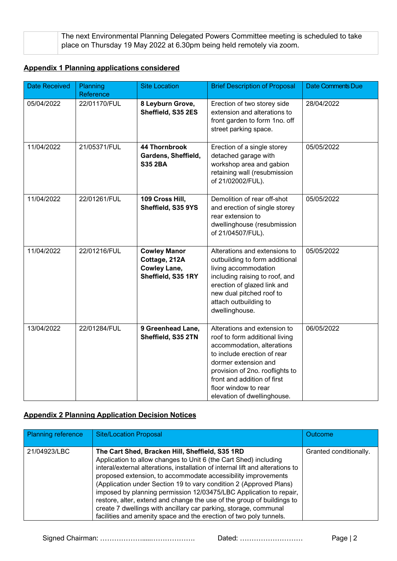| The next Environmental Planning Delegated Powers Committee meeting is scheduled to take |
|-----------------------------------------------------------------------------------------|
| place on Thursday 19 May 2022 at 6.30pm being held remotely via zoom.                   |

## **Appendix 1 Planning applications considered**

| <b>Date Received</b> | Planning     | <b>Site Location</b>                                                              | <b>Brief Description of Proposal</b>                                                                                                                                                                                                                                         | <b>Date Comments Due</b> |
|----------------------|--------------|-----------------------------------------------------------------------------------|------------------------------------------------------------------------------------------------------------------------------------------------------------------------------------------------------------------------------------------------------------------------------|--------------------------|
|                      | Reference    |                                                                                   |                                                                                                                                                                                                                                                                              |                          |
| 05/04/2022           | 22/01170/FUL | 8 Leyburn Grove,<br>Sheffield, S35 2ES                                            | Erection of two storey side<br>extension and alterations to<br>front garden to form 1no. off<br>street parking space.                                                                                                                                                        | 28/04/2022               |
| 11/04/2022           | 21/05371/FUL | <b>44 Thornbrook</b><br>Gardens, Sheffield,<br><b>S35 2BA</b>                     | Erection of a single storey<br>detached garage with<br>workshop area and gabion<br>retaining wall (resubmission<br>of 21/02002/FUL).                                                                                                                                         | 05/05/2022               |
| 11/04/2022           | 22/01261/FUL | 109 Cross Hill,<br>Sheffield, S35 9YS                                             | Demolition of rear off-shot<br>and erection of single storey<br>rear extension to<br>dwellinghouse (resubmission<br>of 21/04507/FUL).                                                                                                                                        | 05/05/2022               |
| 11/04/2022           | 22/01216/FUL | <b>Cowley Manor</b><br>Cottage, 212A<br><b>Cowley Lane,</b><br>Sheffield, S35 1RY | Alterations and extensions to<br>outbuilding to form additional<br>living accommodation<br>including raising to roof, and<br>erection of glazed link and<br>new dual pitched roof to<br>attach outbuilding to<br>dwellinghouse.                                              | 05/05/2022               |
| 13/04/2022           | 22/01284/FUL | 9 Greenhead Lane,<br>Sheffield, S35 2TN                                           | Alterations and extension to<br>roof to form additional living<br>accommodation, alterations<br>to include erection of rear<br>dormer extension and<br>provision of 2no. rooflights to<br>front and addition of first<br>floor window to rear<br>elevation of dwellinghouse. | 06/05/2022               |

## **Appendix 2 Planning Application Decision Notices**

| Planning reference | <b>Site/Location Proposal</b>                                                                                                                                                                                                                                                                                                                                                                                                                                                                                                                                                                                                          | <b>Outcome</b>         |
|--------------------|----------------------------------------------------------------------------------------------------------------------------------------------------------------------------------------------------------------------------------------------------------------------------------------------------------------------------------------------------------------------------------------------------------------------------------------------------------------------------------------------------------------------------------------------------------------------------------------------------------------------------------------|------------------------|
| 21/04923/LBC       | The Cart Shed, Bracken Hill, Sheffield, S35 1RD<br>Application to allow changes to Unit 6 (the Cart Shed) including<br>interal/external alterations, installation of internal lift and alterations to<br>proposed extension, to accommodate accessibility improvements<br>(Application under Section 19 to vary condition 2 (Approved Plans)<br>imposed by planning permission 12/03475/LBC Application to repair,<br>restore, alter, extend and change the use of the group of buildings to<br>create 7 dwellings with ancillary car parking, storage, communal<br>facilities and amenity space and the erection of two poly tunnels. | Granted conditionally. |

Signed Chairman: ……………….....………………. Dated: ……………………… Page | 2